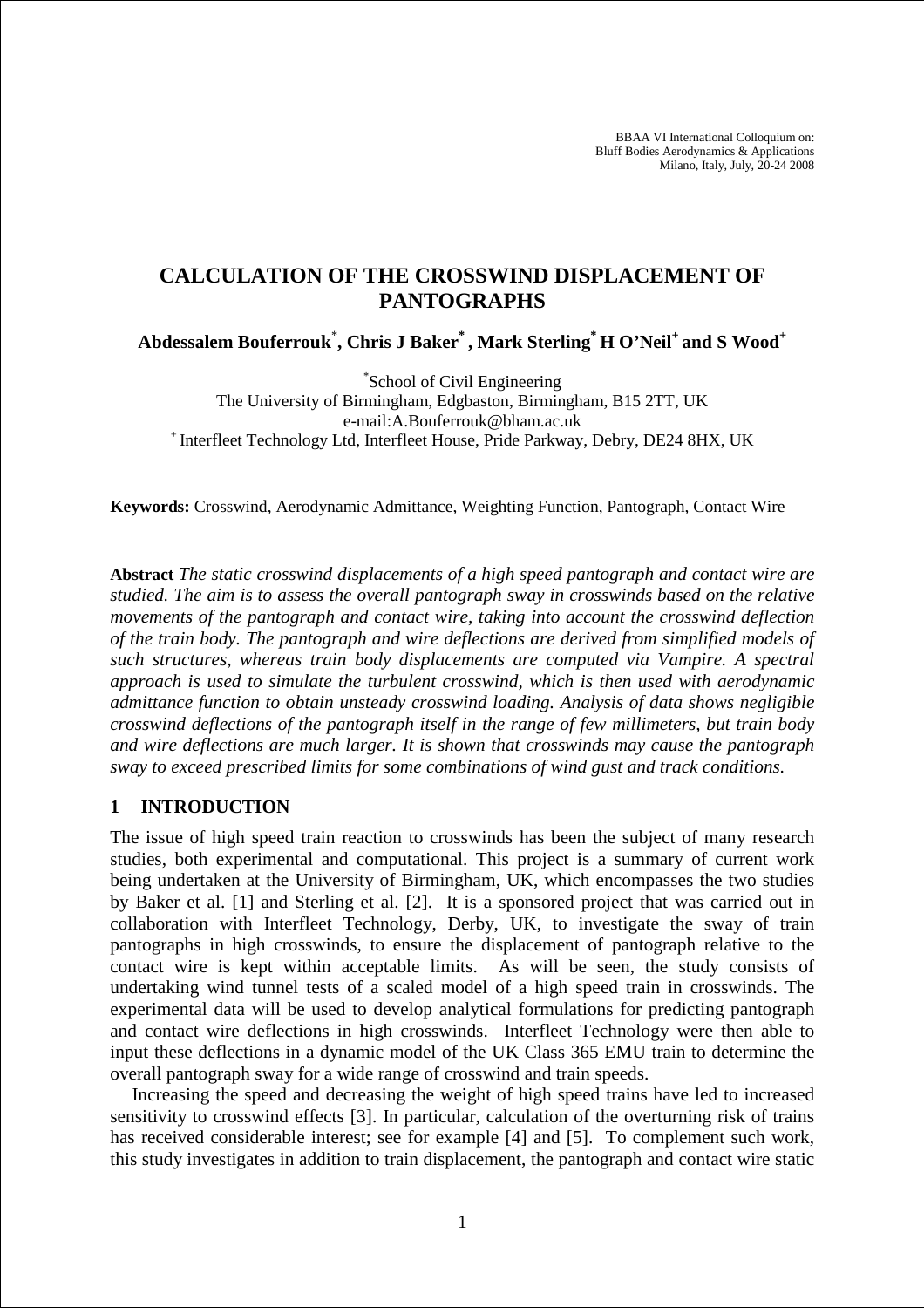BBAA VI International Colloquium on: Bluff Bodies Aerodynamics & Applications Milano, Italy, July, 20-24 2008

# **CALCULATION OF THE CROSSWIND DISPLACEMENT OF PANTOGRAPHS**

**Abdessalem Bouferrouk**\* **, Chris J Baker\* , Mark Sterling\* H O'Neil<sup>+</sup>and S Wood<sup>+</sup>**

\* School of Civil Engineering The University of Birmingham, Edgbaston, Birmingham, B15 2TT, UK e-mail:A.Bouferrouk@bham.ac.uk <sup>+</sup>Interfleet Technology Ltd, Interfleet House, Pride Parkway, Debry, DE24 8HX, UK

**Keywords:** Crosswind, Aerodynamic Admittance, Weighting Function, Pantograph, Contact Wire

**Abstract** *The static crosswind displacements of a high speed pantograph and contact wire are studied. The aim is to assess the overall pantograph sway in crosswinds based on the relative movements of the pantograph and contact wire, taking into account the crosswind deflection of the train body. The pantograph and wire deflections are derived from simplified models of such structures, whereas train body displacements are computed via Vampire. A spectral approach is used to simulate the turbulent crosswind, which is then used with aerodynamic admittance function to obtain unsteady crosswind loading. Analysis of data shows negligible crosswind deflections of the pantograph itself in the range of few millimeters, but train body and wire deflections are much larger. It is shown that crosswinds may cause the pantograph sway to exceed prescribed limits for some combinations of wind gust and track conditions.*

# **1 INTRODUCTION**

The issue of high speed train reaction to crosswinds has been the subject of many research studies, both experimental and computational. This project is a summary of current work being undertaken at the University of Birmingham, UK, which encompasses the two studies by Baker et al. [1] and Sterling et al. [2]. It is a sponsored project that was carried out in collaboration with Interfleet Technology, Derby, UK, to investigate the sway of train pantographs in high crosswinds, to ensure the displacement of pantograph relative to the contact wire is kept within acceptable limits. As will be seen, the study consists of undertaking wind tunnel tests of a scaled model of a high speed train in crosswinds. The experimental data will be used to develop analytical formulations for predicting pantograph and contact wire deflections in high crosswinds. Interfleet Technology were then able to input these deflections in a dynamic model of the UK Class 365 EMU train to determine the overall pantograph sway for a wide range of crosswind and train speeds.

Increasing the speed and decreasing the weight of high speed trains have led to increased sensitivity to crosswind effects [3]. In particular, calculation of the overturning risk of trains has received considerable interest; see for example [4] and [5]. To complement such work, this study investigates in addition to train displacement, the pantograph and contact wire static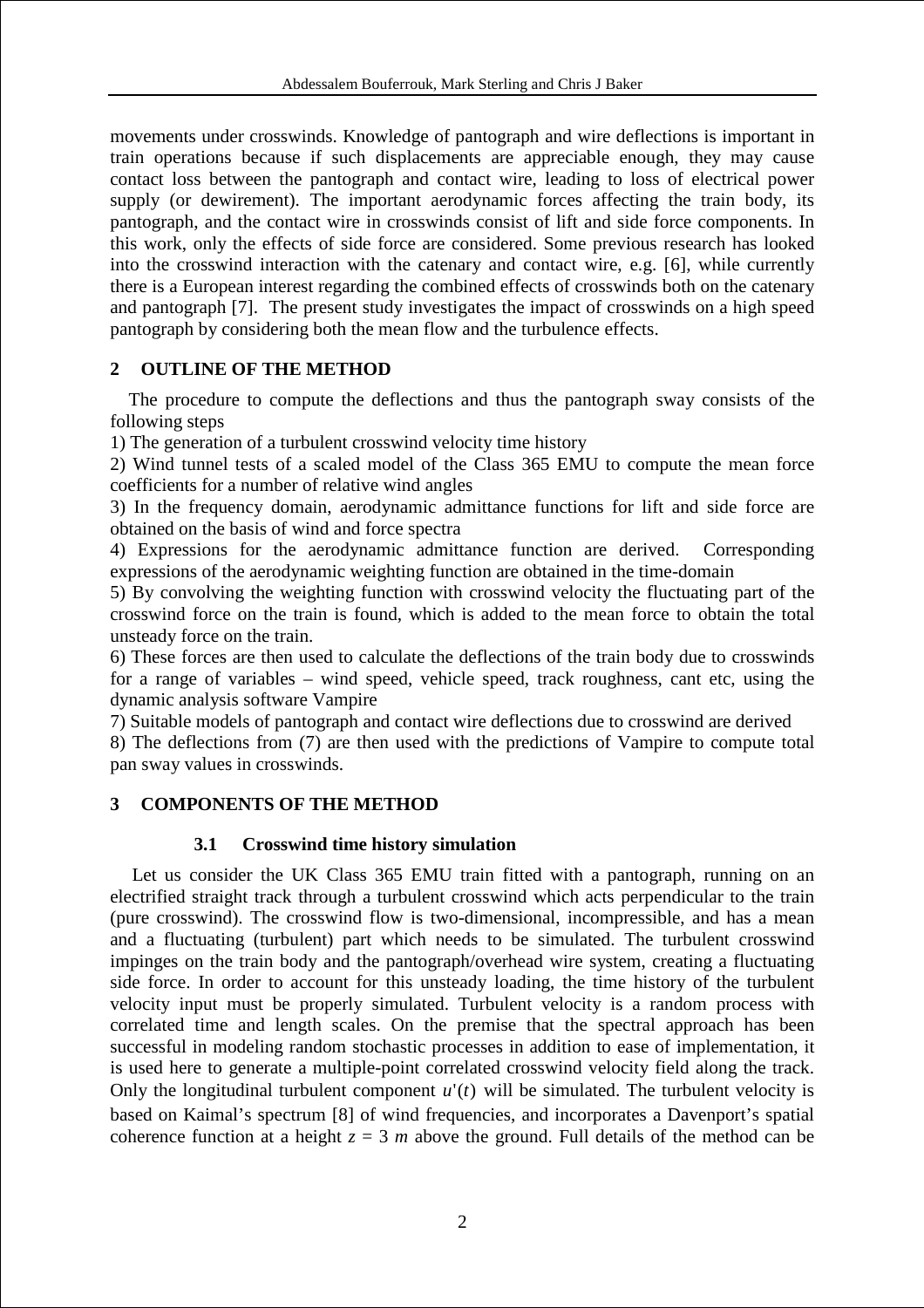movements under crosswinds. Knowledge of pantograph and wire deflections is important in train operations because if such displacements are appreciable enough, they may cause contact loss between the pantograph and contact wire, leading to loss of electrical power supply (or dewirement). The important aerodynamic forces affecting the train body, its pantograph, and the contact wire in crosswinds consist of lift and side force components. In this work, only the effects of side force are considered. Some previous research has looked into the crosswind interaction with the catenary and contact wire, e.g. [6], while currently there is a European interest regarding the combined effects of crosswinds both on the catenary and pantograph [7]. The present study investigates the impact of crosswinds on a high speed pantograph by considering both the mean flow and the turbulence effects.

# **2 OUTLINE OF THE METHOD**

 The procedure to compute the deflections and thus the pantograph sway consists of the following steps

1) The generation of a turbulent crosswind velocity time history

2) Wind tunnel tests of a scaled model of the Class 365 EMU to compute the mean force coefficients for a number of relative wind angles

3) In the frequency domain, aerodynamic admittance functions for lift and side force are obtained on the basis of wind and force spectra

4) Expressions for the aerodynamic admittance function are derived. Corresponding expressions of the aerodynamic weighting function are obtained in the time-domain

5) By convolving the weighting function with crosswind velocity the fluctuating part of the crosswind force on the train is found, which is added to the mean force to obtain the total unsteady force on the train.

6) These forces are then used to calculate the deflections of the train body due to crosswinds for a range of variables – wind speed, vehicle speed, track roughness, cant etc, using the dynamic analysis software Vampire

7) Suitable models of pantograph and contact wire deflections due to crosswind are derived

8) The deflections from (7) are then used with the predictions of Vampire to compute total pan sway values in crosswinds.

# **3 COMPONENTS OF THE METHOD**

# **3.1 Crosswind time history simulation**

Let us consider the UK Class 365 EMU train fitted with a pantograph, running on an electrified straight track through a turbulent crosswind which acts perpendicular to the train (pure crosswind). The crosswind flow is two-dimensional, incompressible, and has a mean and a fluctuating (turbulent) part which needs to be simulated. The turbulent crosswind impinges on the train body and the pantograph/overhead wire system, creating a fluctuating side force. In order to account for this unsteady loading, the time history of the turbulent velocity input must be properly simulated. Turbulent velocity is a random process with correlated time and length scales. On the premise that the spectral approach has been successful in modeling random stochastic processes in addition to ease of implementation, it is used here to generate a multiple-point correlated crosswind velocity field along the track. Only the longitudinal turbulent component  $u'(t)$  will be simulated. The turbulent velocity is based on Kaimal's spectrum [8] of wind frequencies, and incorporates a Davenport's spatial coherence function at a height  $z = 3$  *m* above the ground. Full details of the method can be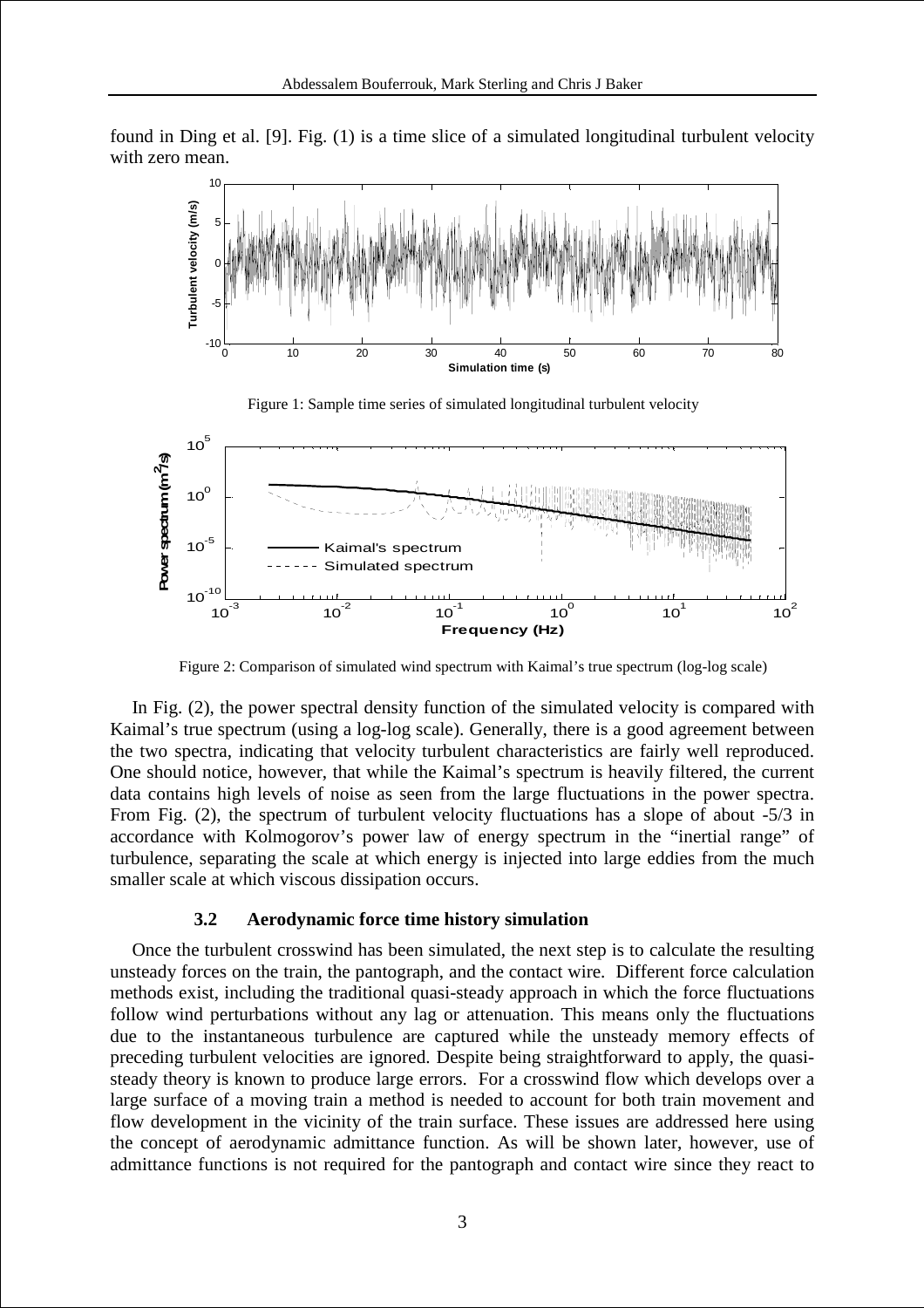found in Ding et al. [9]. Fig. (1) is a time slice of a simulated longitudinal turbulent velocity with zero mean.





Figure 2: Comparison of simulated wind spectrum with Kaimal's true spectrum (log-log scale)

In Fig. (2), the power spectral density function of the simulated velocity is compared with Kaimal's true spectrum (using a log-log scale). Generally, there is a good agreement between the two spectra, indicating that velocity turbulent characteristics are fairly well reproduced. One should notice, however, that while the Kaimal's spectrum is heavily filtered, the current data contains high levels of noise as seen from the large fluctuations in the power spectra. From Fig. (2), the spectrum of turbulent velocity fluctuations has a slope of about -5/3 in accordance with Kolmogorov's power law of energy spectrum in the "inertial range" of turbulence, separating the scale at which energy is injected into large eddies from the much smaller scale at which viscous dissipation occurs.

#### **3.2 Aerodynamic force time history simulation**

Once the turbulent crosswind has been simulated, the next step is to calculate the resulting unsteady forces on the train, the pantograph, and the contact wire. Different force calculation methods exist, including the traditional quasi-steady approach in which the force fluctuations follow wind perturbations without any lag or attenuation. This means only the fluctuations due to the instantaneous turbulence are captured while the unsteady memory effects of preceding turbulent velocities are ignored. Despite being straightforward to apply, the quasisteady theory is known to produce large errors. For a crosswind flow which develops over a large surface of a moving train a method is needed to account for both train movement and flow development in the vicinity of the train surface. These issues are addressed here using the concept of aerodynamic admittance function. As will be shown later, however, use of admittance functions is not required for the pantograph and contact wire since they react to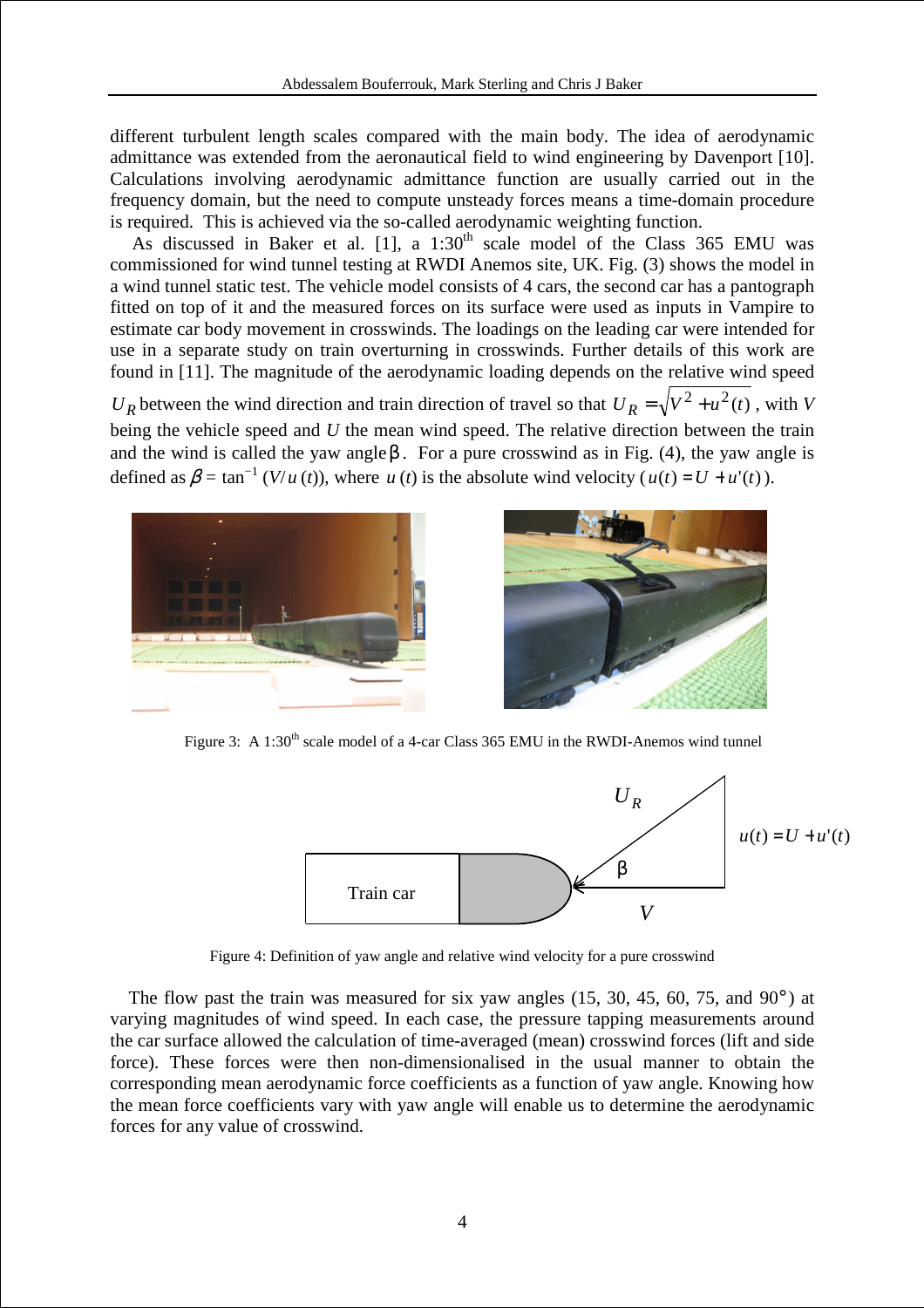different turbulent length scales compared with the main body. The idea of aerodynamic admittance was extended from the aeronautical field to wind engineering by Davenport [10]. Calculations involving aerodynamic admittance function are usually carried out in the frequency domain, but the need to compute unsteady forces means a time-domain procedure is required. This is achieved via the so-called aerodynamic weighting function.

As discussed in Baker et al.  $[1]$ , a  $1:30<sup>th</sup>$  scale model of the Class 365 EMU was commissioned for wind tunnel testing at RWDI Anemos site, UK. Fig. (3) shows the model in a wind tunnel static test. The vehicle model consists of 4 cars, the second car has a pantograph fitted on top of it and the measured forces on its surface were used as inputs in Vampire to estimate car body movement in crosswinds. The loadings on the leading car were intended for use in a separate study on train overturning in crosswinds. Further details of this work are found in [11]. The magnitude of the aerodynamic loading depends on the relative wind speed  $U_R$  between the wind direction and train direction of travel so that  $U_R = \sqrt{V^2 + u^2(t)}$ , with *V* being the vehicle speed and *U* the mean wind speed. The relative direction between the train and the wind is called the yaw angle $\beta$ . For a pure crosswind as in Fig. (4), the yaw angle is defined as  $\beta = \tan^{-1}(V/u(t))$ , where *u*(*t*) is the absolute wind velocity ( $u(t) = U + u'(t)$ ).





Figure 3: A 1:30<sup>th</sup> scale model of a 4-car Class 365 EMU in the RWDI-Anemos wind tunnel



Figure 4: Definition of yaw angle and relative wind velocity for a pure crosswind

The flow past the train was measured for six yaw angles  $(15, 30, 45, 60, 75,$  and  $90^\circ$ ) at varying magnitudes of wind speed. In each case, the pressure tapping measurements around the car surface allowed the calculation of time-averaged (mean) crosswind forces (lift and side force). These forces were then non-dimensionalised in the usual manner to obtain the corresponding mean aerodynamic force coefficients as a function of yaw angle. Knowing how the mean force coefficients vary with yaw angle will enable us to determine the aerodynamic forces for any value of crosswind.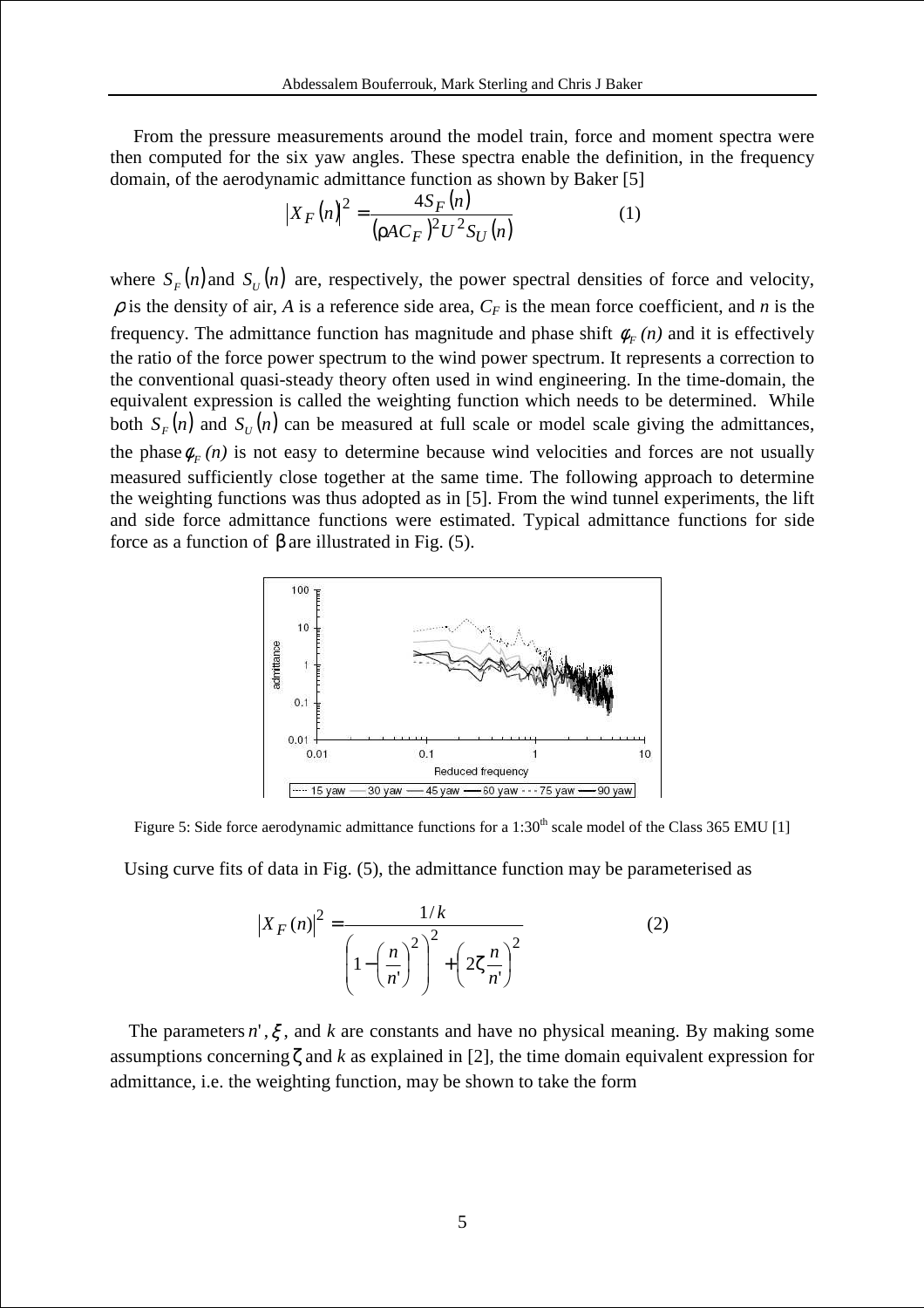From the pressure measurements around the model train, force and moment spectra were then computed for the six yaw angles. These spectra enable the definition, in the frequency domain, of the aerodynamic admittance function as shown by Baker [5]

$$
|X_F(n)|^2 = \frac{4S_F(n)}{(\rho A C_F)^2 U^2 S_U(n)}
$$
(1)

where  $S_F(n)$  and  $S_U(n)$  are, respectively, the power spectral densities of force and velocity,  $\rho$  is the density of air, *A* is a reference side area,  $C_F$  is the mean force coefficient, and *n* is the frequency. The admittance function has magnitude and phase shift  $\phi_F(n)$  and it is effectively the ratio of the force power spectrum to the wind power spectrum. It represents a correction to the conventional quasi-steady theory often used in wind engineering. In the time-domain, the equivalent expression is called the weighting function which needs to be determined. While both  $S_F(n)$  and  $S_U(n)$  can be measured at full scale or model scale giving the admittances, the phase  $\phi_F(n)$  is not easy to determine because wind velocities and forces are not usually measured sufficiently close together at the same time. The following approach to determine the weighting functions was thus adopted as in [5]. From the wind tunnel experiments, the lift and side force admittance functions were estimated. Typical admittance functions for side force as a function of β are illustrated in Fig. (5).



Figure 5: Side force aerodynamic admittance functions for a 1:30<sup>th</sup> scale model of the Class 365 EMU [1]

Using curve fits of data in Fig. (5), the admittance function may be parameterised as

$$
\left|X_{F}(n)\right|^{2} = \frac{1/k}{\left(1-\left(\frac{n}{n}\right)^{2}\right)^{2}+\left(2\zeta\frac{n}{n}\right)^{2}}
$$
(2)

The parameters  $n'$ ,  $\xi$ , and  $k$  are constants and have no physical meaning. By making some assumptions concerning  $\zeta$  and  $k$  as explained in [2], the time domain equivalent expression for admittance, i.e. the weighting function, may be shown to take the form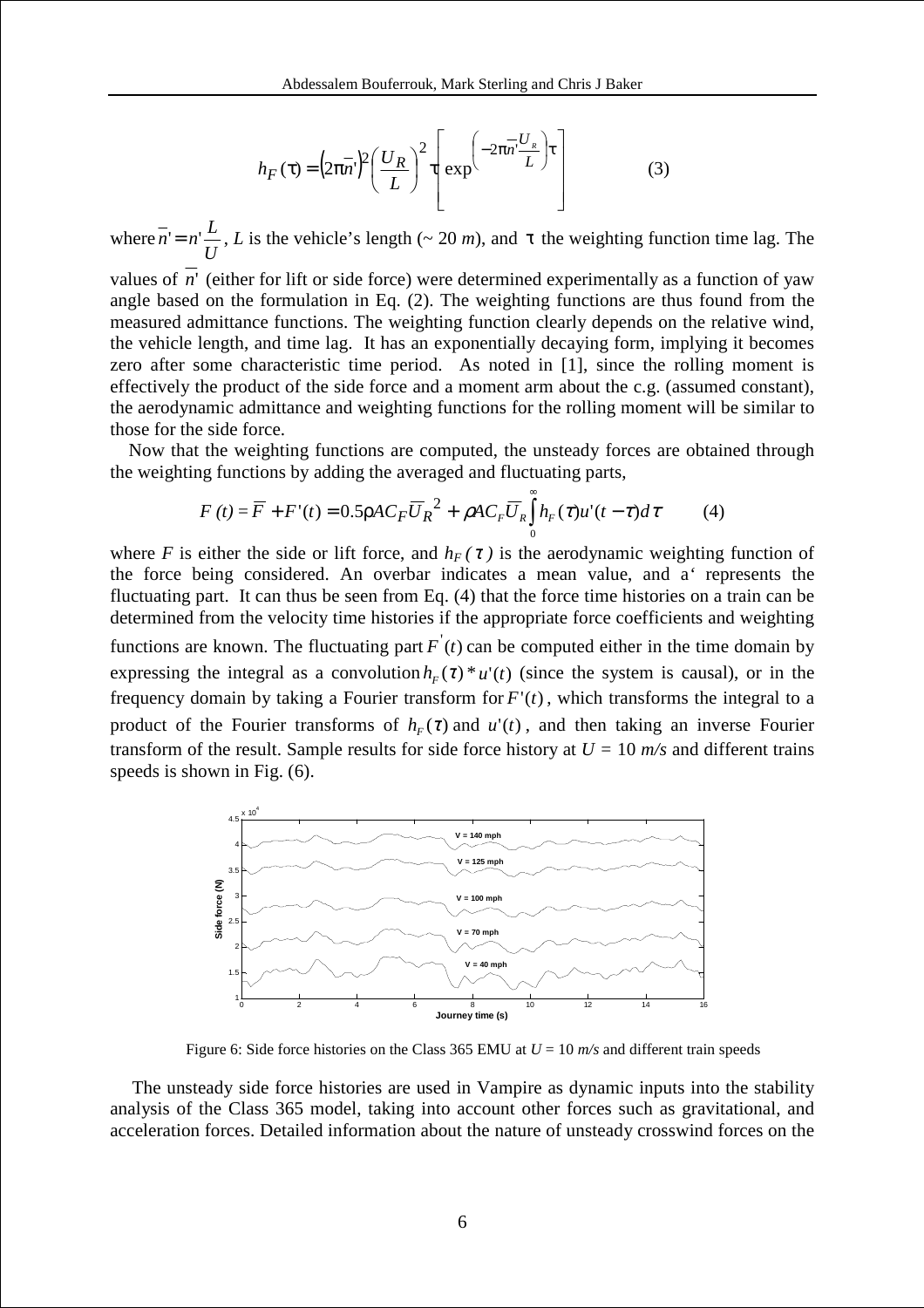$$
h_F(\tau) = \left(2\pi n^2\right)^2 \left(\frac{U_R}{L}\right)^2 \tau \left[\exp\left(-2\pi n^2 \frac{U_R}{L}\right) \tau\right]
$$
(3)

where *U*  $\overline{n}$  =  $n'$ , *L* is the vehicle's length (~ 20 *m*), and τ the weighting function time lag. The

values of *n*' (either for lift or side force) were determined experimentally as a function of yaw angle based on the formulation in Eq. (2). The weighting functions are thus found from the measured admittance functions. The weighting function clearly depends on the relative wind, the vehicle length, and time lag. It has an exponentially decaying form, implying it becomes zero after some characteristic time period. As noted in [1], since the rolling moment is effectively the product of the side force and a moment arm about the c.g. (assumed constant), the aerodynamic admittance and weighting functions for the rolling moment will be similar to those for the side force.

 Now that the weighting functions are computed, the unsteady forces are obtained through the weighting functions by adding the averaged and fluctuating parts,

$$
F(t) = \overline{F} + F'(t) = 0.5 \rho A C_F \overline{U}_R^2 + \rho A C_F \overline{U}_R \int_0^{\infty} h_F(\tau) u'(t - \tau) d\tau
$$
 (4)

where *F* is either the side or lift force, and  $h_F(\tau)$  is the aerodynamic weighting function of the force being considered. An overbar indicates a mean value, and a*'* represents the fluctuating part. It can thus be seen from Eq. (4) that the force time histories on a train can be determined from the velocity time histories if the appropriate force coefficients and weighting functions are known. The fluctuating part  $F(t)$  can be computed either in the time domain by expressing the integral as a convolution  $h_F(\tau) * u'(t)$  (since the system is causal), or in the frequency domain by taking a Fourier transform for  $F'(t)$ , which transforms the integral to a product of the Fourier transforms of  $h_F(\tau)$  and  $u'(t)$ , and then taking an inverse Fourier transform of the result. Sample results for side force history at  $U = 10$  m/s and different trains speeds is shown in Fig. (6).



Figure 6: Side force histories on the Class 365 EMU at  $U = 10$   $m/s$  and different train speeds

The unsteady side force histories are used in Vampire as dynamic inputs into the stability analysis of the Class 365 model, taking into account other forces such as gravitational, and acceleration forces. Detailed information about the nature of unsteady crosswind forces on the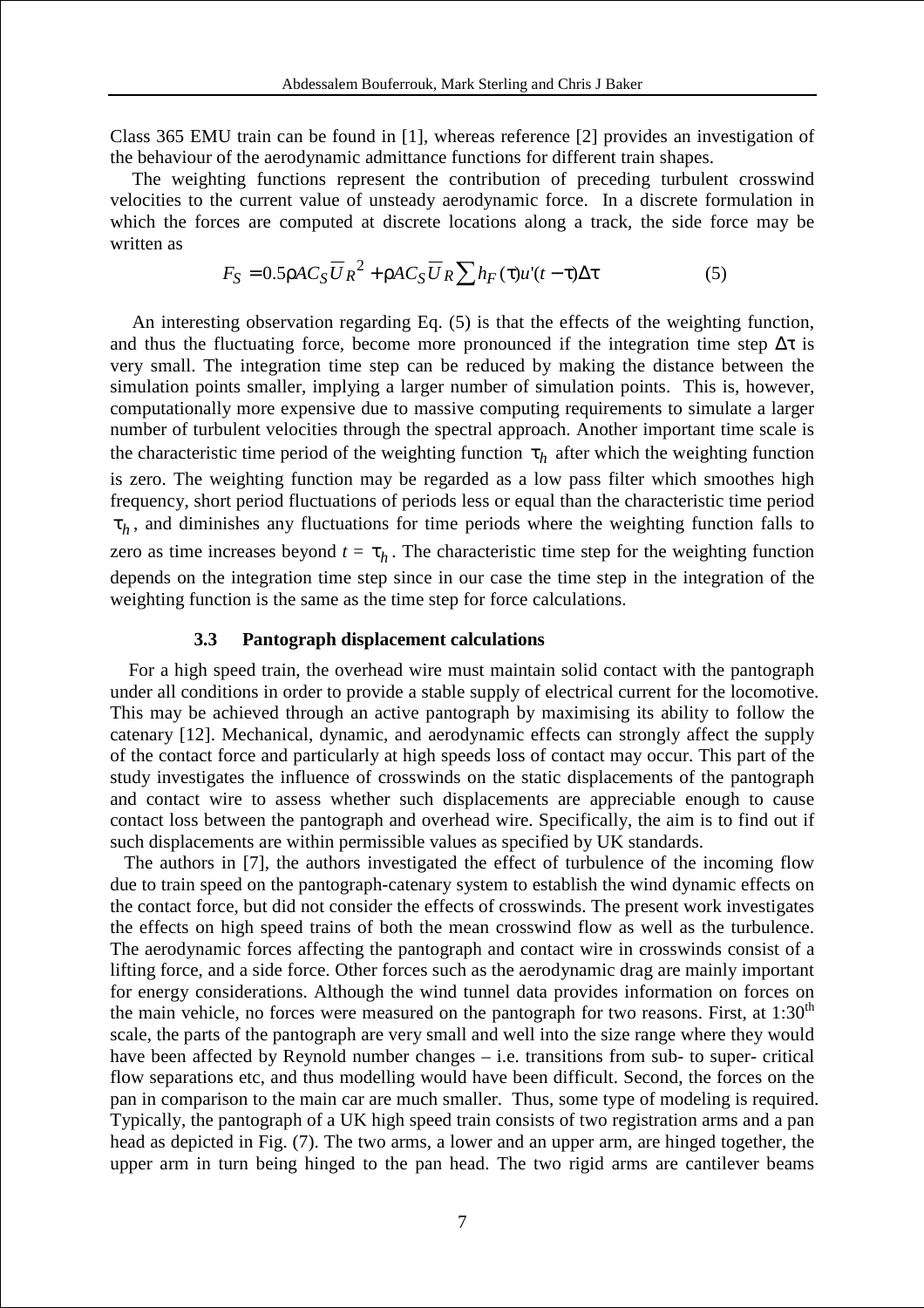Class 365 EMU train can be found in [1], whereas reference [2] provides an investigation of the behaviour of the aerodynamic admittance functions for different train shapes.

The weighting functions represent the contribution of preceding turbulent crosswind velocities to the current value of unsteady aerodynamic force. In a discrete formulation in which the forces are computed at discrete locations along a track, the side force may be written as

$$
F_S = 0.5 \rho A C_S \overline{U}_R^2 + \rho A C_S \overline{U}_R \sum h_F(\tau) u'(t - \tau) \Delta \tau
$$
 (5)

An interesting observation regarding Eq. (5) is that the effects of the weighting function, and thus the fluctuating force, become more pronounced if the integration time step  $\Delta \tau$  is very small. The integration time step can be reduced by making the distance between the simulation points smaller, implying a larger number of simulation points. This is, however, computationally more expensive due to massive computing requirements to simulate a larger number of turbulent velocities through the spectral approach. Another important time scale is the characteristic time period of the weighting function  $\tau_h$  after which the weighting function is zero. The weighting function may be regarded as a low pass filter which smoothes high frequency, short period fluctuations of periods less or equal than the characteristic time period  $\tau_h$ , and diminishes any fluctuations for time periods where the weighting function falls to zero as time increases beyond  $t = \tau_h$ . The characteristic time step for the weighting function depends on the integration time step since in our case the time step in the integration of the weighting function is the same as the time step for force calculations.

#### **3.3 Pantograph displacement calculations**

 For a high speed train, the overhead wire must maintain solid contact with the pantograph under all conditions in order to provide a stable supply of electrical current for the locomotive. This may be achieved through an active pantograph by maximising its ability to follow the catenary [12]. Mechanical, dynamic, and aerodynamic effects can strongly affect the supply of the contact force and particularly at high speeds loss of contact may occur. This part of the study investigates the influence of crosswinds on the static displacements of the pantograph and contact wire to assess whether such displacements are appreciable enough to cause contact loss between the pantograph and overhead wire. Specifically, the aim is to find out if such displacements are within permissible values as specified by UK standards.

 The authors in [7], the authors investigated the effect of turbulence of the incoming flow due to train speed on the pantograph-catenary system to establish the wind dynamic effects on the contact force, but did not consider the effects of crosswinds. The present work investigates the effects on high speed trains of both the mean crosswind flow as well as the turbulence. The aerodynamic forces affecting the pantograph and contact wire in crosswinds consist of a lifting force, and a side force. Other forces such as the aerodynamic drag are mainly important for energy considerations. Although the wind tunnel data provides information on forces on the main vehicle, no forces were measured on the pantograph for two reasons. First, at  $1:30<sup>th</sup>$ scale, the parts of the pantograph are very small and well into the size range where they would have been affected by Reynold number changes – i.e. transitions from sub- to super- critical flow separations etc, and thus modelling would have been difficult. Second, the forces on the pan in comparison to the main car are much smaller. Thus, some type of modeling is required. Typically, the pantograph of a UK high speed train consists of two registration arms and a pan head as depicted in Fig. (7). The two arms, a lower and an upper arm, are hinged together, the upper arm in turn being hinged to the pan head. The two rigid arms are cantilever beams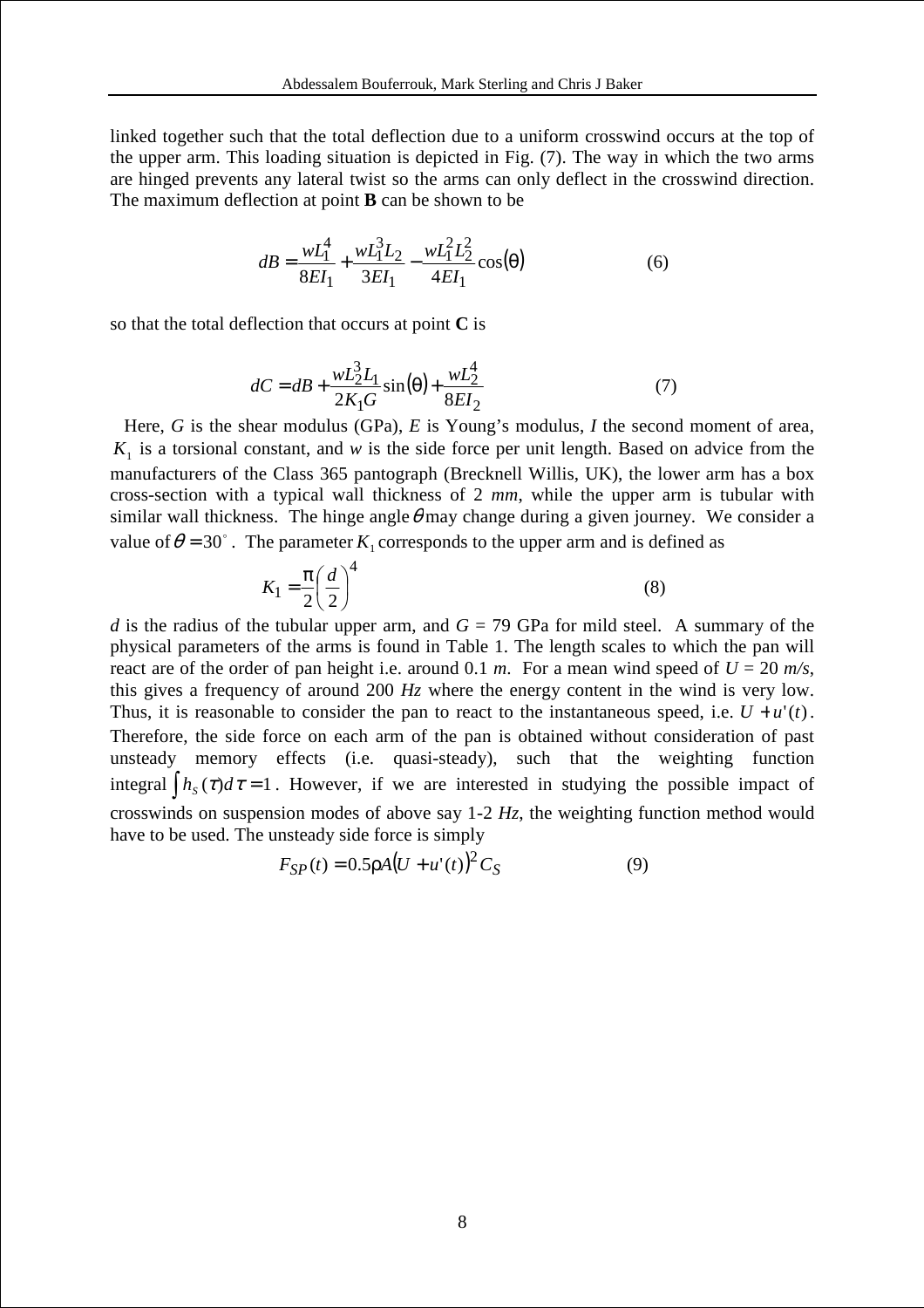linked together such that the total deflection due to a uniform crosswind occurs at the top of the upper arm. This loading situation is depicted in Fig. (7). The way in which the two arms are hinged prevents any lateral twist so the arms can only deflect in the crosswind direction. The maximum deflection at point **B** can be shown to be

$$
dB = \frac{wL_1^4}{8EI_1} + \frac{wL_1^3L_2}{3EI_1} - \frac{wL_1^2L_2^2}{4EI_1}\cos(\theta)
$$
 (6)

so that the total deflection that occurs at point **C** is

$$
dC = dB + \frac{wL_2^3 L_1}{2K_1 G} \sin(\theta) + \frac{wL_2^4}{8EI_2}
$$
 (7)

Here, *G* is the shear modulus (GPa), *E* is Young's modulus, *I* the second moment of area,  $K<sub>1</sub>$  is a torsional constant, and *w* is the side force per unit length. Based on advice from the manufacturers of the Class 365 pantograph (Brecknell Willis, UK), the lower arm has a box cross-section with a typical wall thickness of 2 *mm*, while the upper arm is tubular with similar wall thickness. The hinge angle  $\theta$  may change during a given journey. We consider a value of  $\theta = 30^{\circ}$ . The parameter  $K_1$  corresponds to the upper arm and is defined as

$$
K_1 = \frac{\pi}{2} \left(\frac{d}{2}\right)^4 \tag{8}
$$

*d* is the radius of the tubular upper arm, and  $G = 79$  GPa for mild steel. A summary of the physical parameters of the arms is found in Table 1. The length scales to which the pan will react are of the order of pan height i.e. around 0.1 *m*. For a mean wind speed of  $U = 20$  *m/s*, this gives a frequency of around 200 *Hz* where the energy content in the wind is very low. Thus, it is reasonable to consider the pan to react to the instantaneous speed, i.e.  $U + u'(t)$ . Therefore, the side force on each arm of the pan is obtained without consideration of past unsteady memory effects (i.e. quasi-steady), such that the weighting function integral  $\int h_s(\tau) d\tau = 1$ . However, if we are interested in studying the possible impact of crosswinds on suspension modes of above say 1-2 *Hz*, the weighting function method would have to be used. The unsteady side force is simply

$$
F_{SP}(t) = 0.5 \rho A (U + u'(t))^2 C_S
$$
 (9)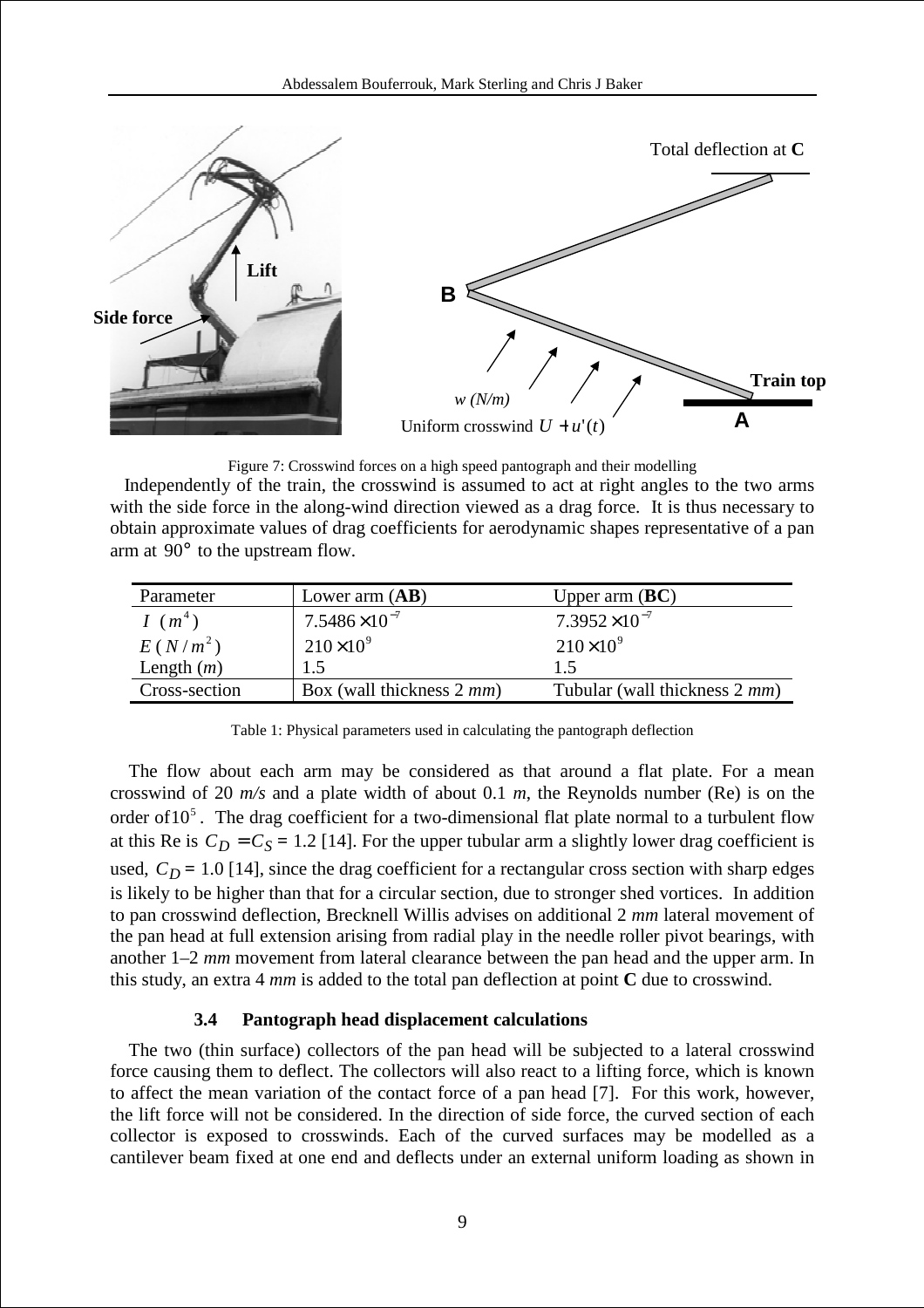

Figure 7: Crosswind forces on a high speed pantograph and their modelling

 Independently of the train, the crosswind is assumed to act at right angles to the two arms with the side force in the along-wind direction viewed as a drag force. It is thus necessary to obtain approximate values of drag coefficients for aerodynamic shapes representative of a pan arm at  $90^{\circ}$  to the upstream flow.

| Parameter     | Lower arm $(AB)$          | Upper arm $(BC)$              |
|---------------|---------------------------|-------------------------------|
| $I(m^4)$      | $7.5486\times10^{-7}$     | $7.3952\times10^{-7}$         |
| $E(N/m^2)$    | $210\times10^{9}$         | $210\times10^{9}$             |
| Length $(m)$  | 1.5                       | 1.5                           |
| Cross-section | Box (wall thickness 2 mm) | Tubular (wall thickness 2 mm) |

Table 1: Physical parameters used in calculating the pantograph deflection

 The flow about each arm may be considered as that around a flat plate. For a mean crosswind of 20 *m/s* and a plate width of about 0.1 *m*, the Reynolds number (Re) is on the order of  $10^5$ . The drag coefficient for a two-dimensional flat plate normal to a turbulent flow at this Re is  $C_D = C_S = 1.2$  [14]. For the upper tubular arm a slightly lower drag coefficient is used,  $C_D = 1.0$  [14], since the drag coefficient for a rectangular cross section with sharp edges is likely to be higher than that for a circular section, due to stronger shed vortices. In addition to pan crosswind deflection, Brecknell Willis advises on additional 2 *mm* lateral movement of the pan head at full extension arising from radial play in the needle roller pivot bearings, with another 1–2 *mm* movement from lateral clearance between the pan head and the upper arm. In this study, an extra 4 *mm* is added to the total pan deflection at point **C** due to crosswind.

#### **3.4 Pantograph head displacement calculations**

 The two (thin surface) collectors of the pan head will be subjected to a lateral crosswind force causing them to deflect. The collectors will also react to a lifting force, which is known to affect the mean variation of the contact force of a pan head [7]. For this work, however, the lift force will not be considered. In the direction of side force, the curved section of each collector is exposed to crosswinds. Each of the curved surfaces may be modelled as a cantilever beam fixed at one end and deflects under an external uniform loading as shown in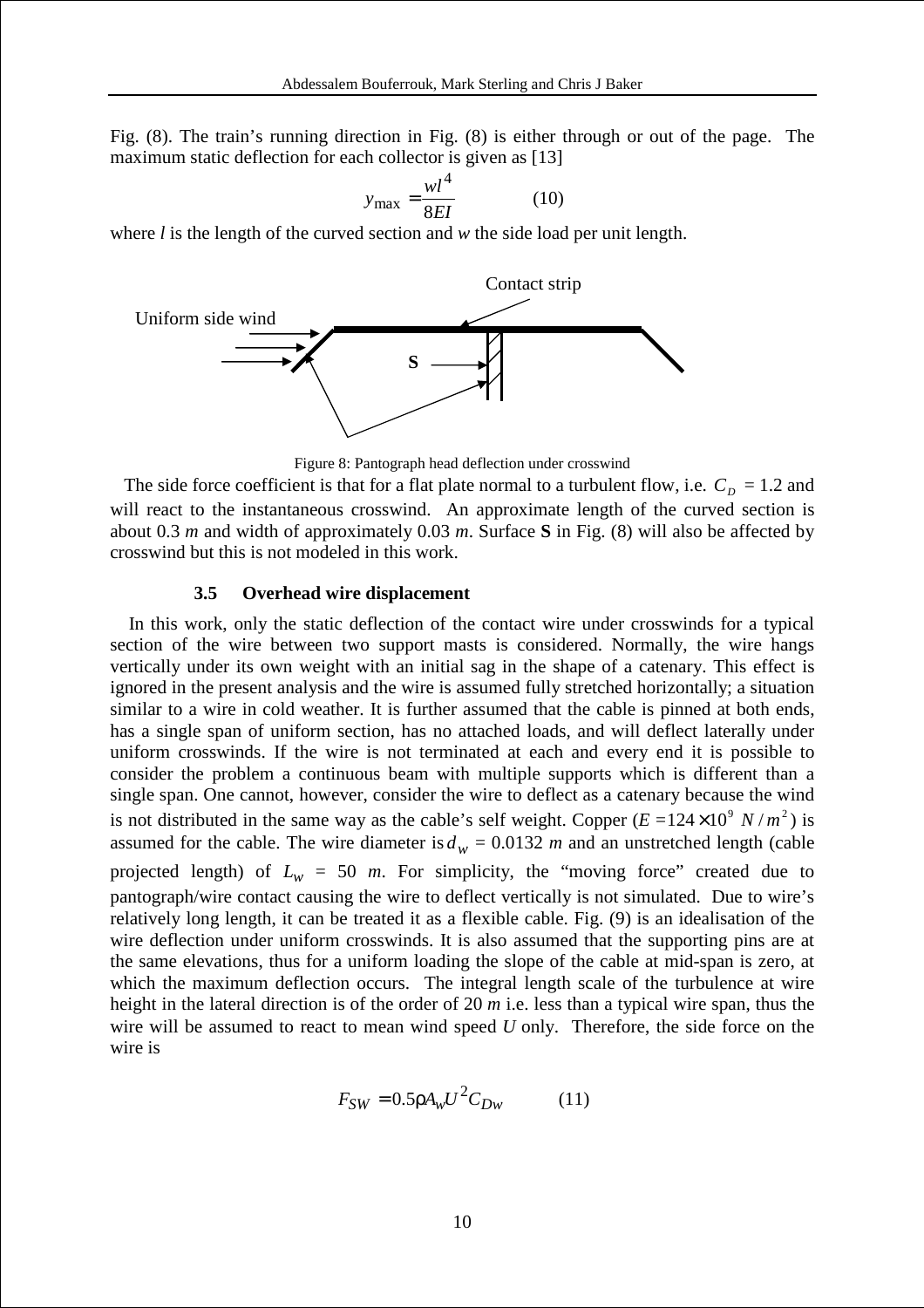Fig. (8). The train's running direction in Fig. (8) is either through or out of the page. The maximum static deflection for each collector is given as [13]

$$
y_{\text{max}} = \frac{wl^4}{8EI} \tag{10}
$$

where *l* is the length of the curved section and *w* the side load per unit length.



Figure 8: Pantograph head deflection under crosswind

The side force coefficient is that for a flat plate normal to a turbulent flow, i.e.  $C_D = 1.2$  and will react to the instantaneous crosswind. An approximate length of the curved section is about 0.3 *m* and width of approximately 0.03 *m*. Surface **S** in Fig. (8) will also be affected by crosswind but this is not modeled in this work.

#### **3.5 Overhead wire displacement**

 In this work, only the static deflection of the contact wire under crosswinds for a typical section of the wire between two support masts is considered. Normally, the wire hangs vertically under its own weight with an initial sag in the shape of a catenary. This effect is ignored in the present analysis and the wire is assumed fully stretched horizontally; a situation similar to a wire in cold weather. It is further assumed that the cable is pinned at both ends, has a single span of uniform section, has no attached loads, and will deflect laterally under uniform crosswinds. If the wire is not terminated at each and every end it is possible to consider the problem a continuous beam with multiple supports which is different than a single span. One cannot, however, consider the wire to deflect as a catenary because the wind is not distributed in the same way as the cable's self weight. Copper  $(E = 124 \times 10^9 \text{ N/m}^2)$  is assumed for the cable. The wire diameter is  $d_w = 0.0132$  *m* and an unstretched length (cable projected length) of  $L_w = 50$  *m*. For simplicity, the "moving force" created due to pantograph/wire contact causing the wire to deflect vertically is not simulated. Due to wire's relatively long length, it can be treated it as a flexible cable. Fig. (9) is an idealisation of the wire deflection under uniform crosswinds. It is also assumed that the supporting pins are at the same elevations, thus for a uniform loading the slope of the cable at mid-span is zero, at which the maximum deflection occurs. The integral length scale of the turbulence at wire height in the lateral direction is of the order of 20 *m* i.e. less than a typical wire span, thus the wire will be assumed to react to mean wind speed *U* only. Therefore, the side force on the wire is

$$
F_{SW} = 0.5 \rho A_w U^2 C_{Dw} \tag{11}
$$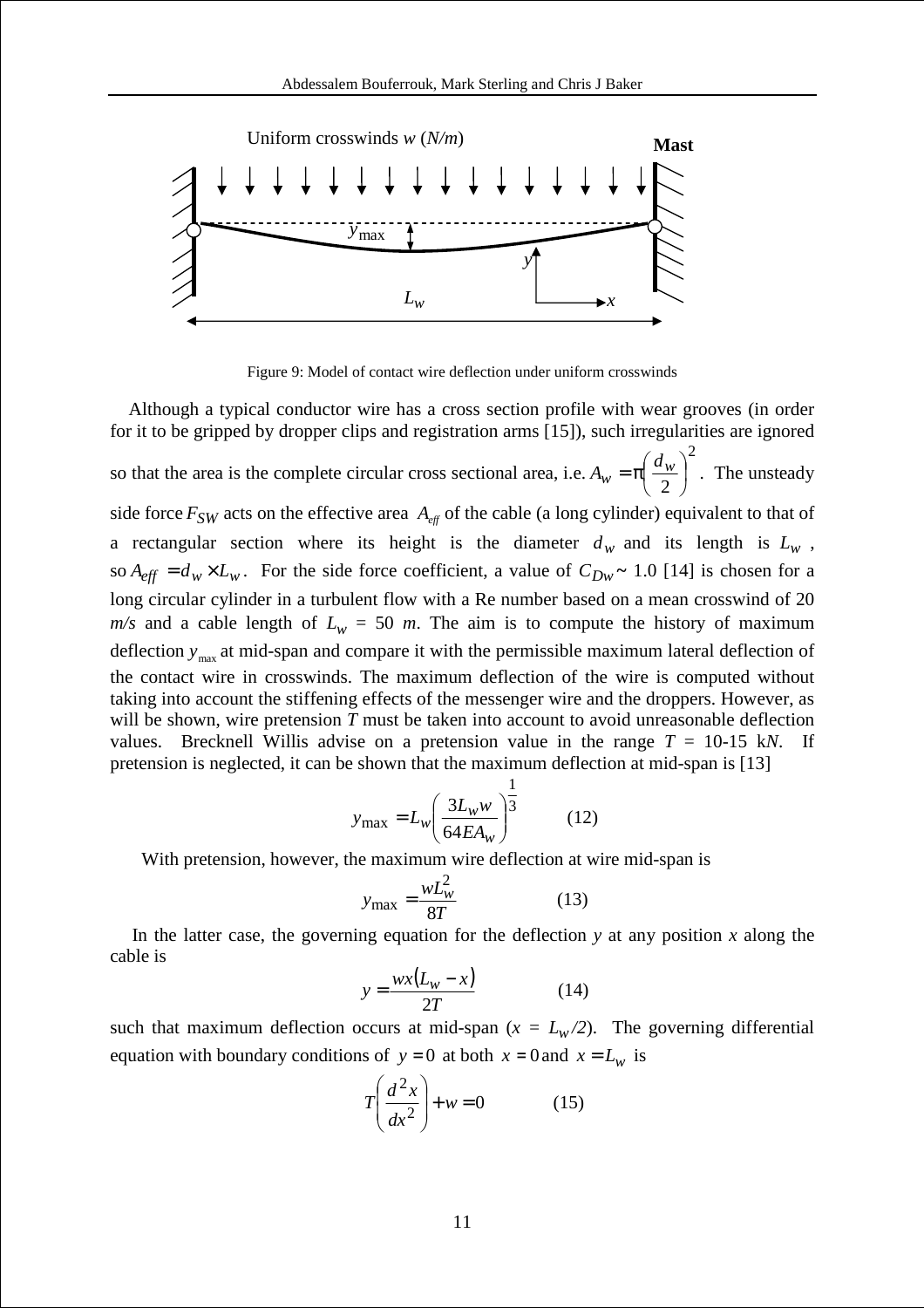

Figure 9: Model of contact wire deflection under uniform crosswinds

 Although a typical conductor wire has a cross section profile with wear grooves (in order for it to be gripped by dropper clips and registration arms [15]), such irregularities are ignored so that the area is the complete circular cross sectional area, i.e. 2 2  $\overline{\phantom{a}}$ J  $\left(\frac{d_w}{\cdot}\right)$ l ſ  $w = \pi \left( \frac{a_w}{2} \right)$  $A_w = \pi \left(\frac{d_w}{2}\right)^2$ . The unsteady side force  $F_{SW}$  acts on the effective area  $A_{\text{eff}}$  of the cable (a long cylinder) equivalent to that of a rectangular section where its height is the diameter  $d_w$  and its length is  $L_w$ , so  $A_{\text{eff}} = d_w \times L_w$ . For the side force coefficient, a value of  $C_{\text{D}w} \sim 1.0$  [14] is chosen for a long circular cylinder in a turbulent flow with a Re number based on a mean crosswind of 20  $m/s$  and a cable length of  $L_w = 50$  m. The aim is to compute the history of maximum deflection  $y_{\text{max}}$  at mid-span and compare it with the permissible maximum lateral deflection of the contact wire in crosswinds. The maximum deflection of the wire is computed without taking into account the stiffening effects of the messenger wire and the droppers. However, as will be shown, wire pretension *T* must be taken into account to avoid unreasonable deflection values. Brecknell Willis advise on a pretension value in the range  $T = 10-15$  kN. If pretension is neglected, it can be shown that the maximum deflection at mid-span is [13]

$$
y_{\text{max}} = L_w \left( \frac{3L_w w}{64E A_w} \right)^{\frac{1}{3}}
$$
 (12)

With pretension, however, the maximum wire deflection at wire mid-span is

$$
y_{\text{max}} = \frac{wL_w^2}{8T} \tag{13}
$$

In the latter case, the governing equation for the deflection  $y$  at any position  $x$  along the cable is

$$
y = \frac{wx(L_w - x)}{2T}
$$
 (14)

such that maximum deflection occurs at mid-span ( $x = L_w/2$ ). The governing differential equation with boundary conditions of  $y = 0$  at both  $x = 0$  and  $x = L_w$  is

$$
T\left(\frac{d^2x}{dx^2}\right) + w = 0\tag{15}
$$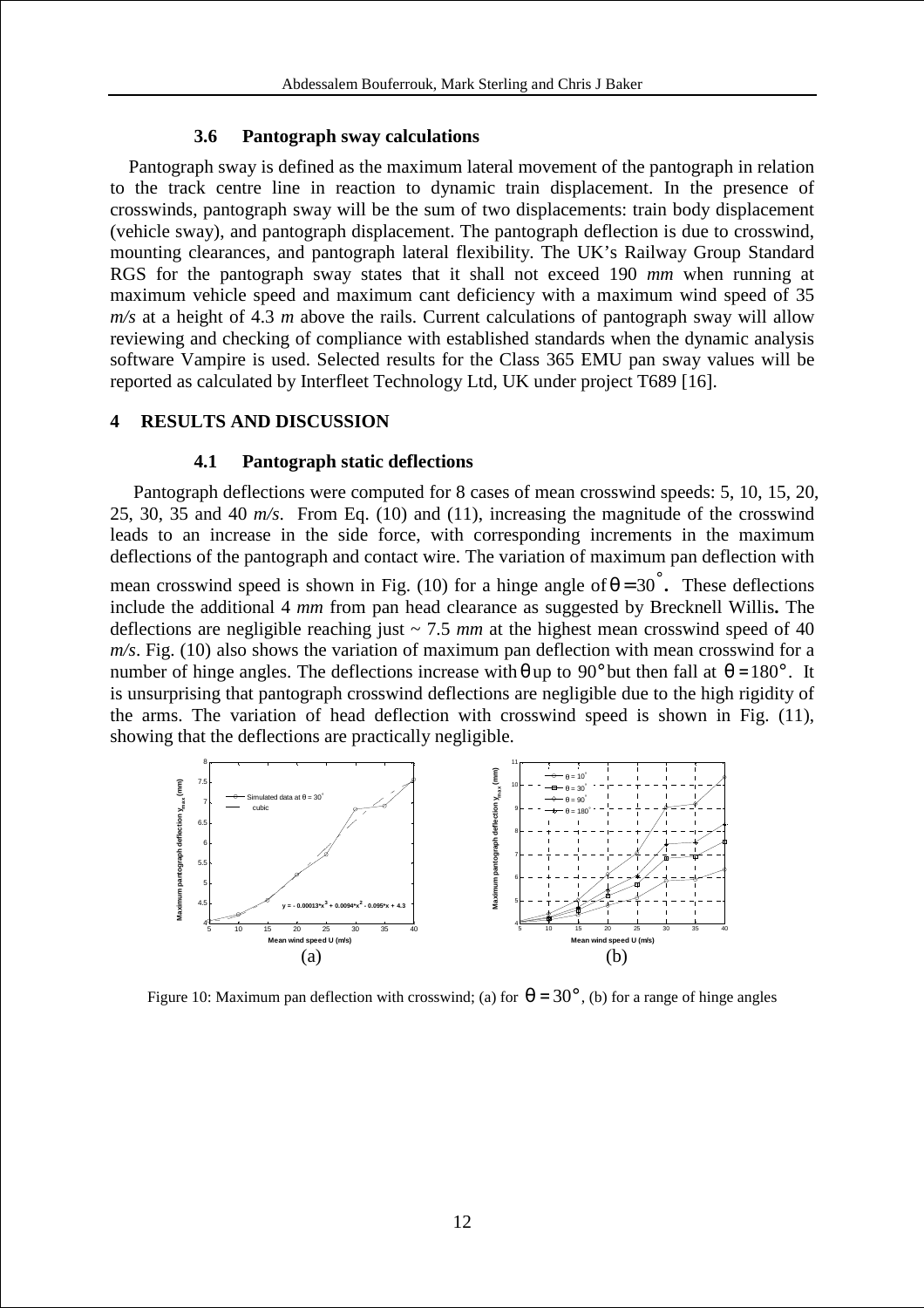#### **3.6 Pantograph sway calculations**

 Pantograph sway is defined as the maximum lateral movement of the pantograph in relation to the track centre line in reaction to dynamic train displacement. In the presence of crosswinds, pantograph sway will be the sum of two displacements: train body displacement (vehicle sway), and pantograph displacement. The pantograph deflection is due to crosswind, mounting clearances, and pantograph lateral flexibility. The UK's Railway Group Standard RGS for the pantograph sway states that it shall not exceed 190 *mm* when running at maximum vehicle speed and maximum cant deficiency with a maximum wind speed of 35 *m/s* at a height of 4.3 *m* above the rails. Current calculations of pantograph sway will allow reviewing and checking of compliance with established standards when the dynamic analysis software Vampire is used. Selected results for the Class 365 EMU pan sway values will be reported as calculated by Interfleet Technology Ltd, UK under project T689 [16].

## **4 RESULTS AND DISCUSSION**

#### **4.1 Pantograph static deflections**

 Pantograph deflections were computed for 8 cases of mean crosswind speeds: 5, 10, 15, 20, 25, 30, 35 and 40 *m/s*. From Eq. (10) and (11), increasing the magnitude of the crosswind leads to an increase in the side force, with corresponding increments in the maximum deflections of the pantograph and contact wire. The variation of maximum pan deflection with

mean crosswind speed is shown in Fig. (10) for a hinge angle of  $\theta = 30^\circ$ . These deflections include the additional 4 *mm* from pan head clearance as suggested by Brecknell Willis**.** The deflections are negligible reaching just  $\sim$  7.5 *mm* at the highest mean crosswind speed of 40 *m/s*. Fig. (10) also shows the variation of maximum pan deflection with mean crosswind for a number of hinge angles. The deflections increase with  $\theta$  up to 90° but then fall at  $\theta = 180^\circ$ . It is unsurprising that pantograph crosswind deflections are negligible due to the high rigidity of the arms. The variation of head deflection with crosswind speed is shown in Fig. (11), showing that the deflections are practically negligible.



Figure 10: Maximum pan deflection with crosswind; (a) for  $\theta = 30^{\circ}$ , (b) for a range of hinge angles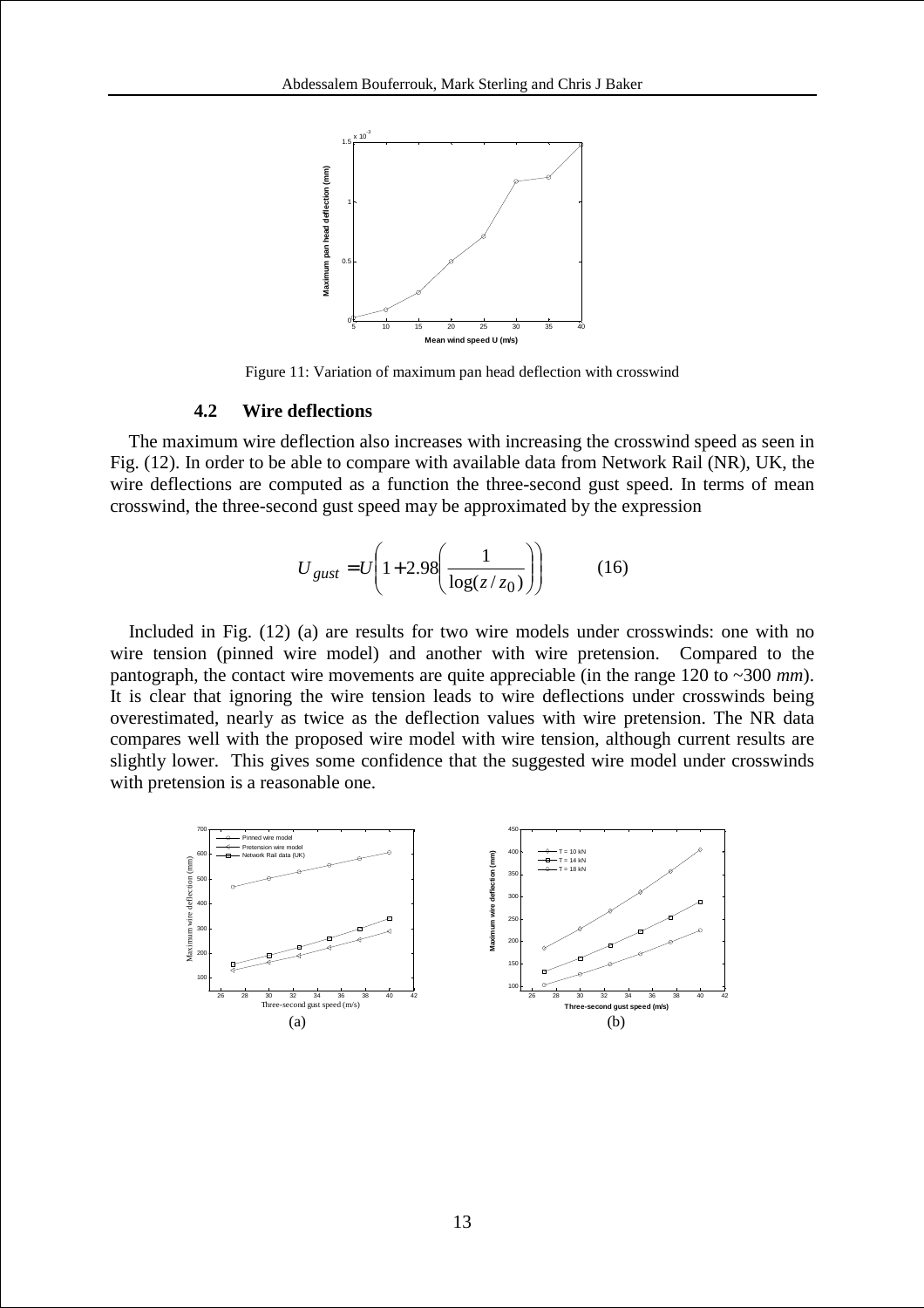

Figure 11: Variation of maximum pan head deflection with crosswind

## **4.2 Wire deflections**

 The maximum wire deflection also increases with increasing the crosswind speed as seen in Fig. (12). In order to be able to compare with available data from Network Rail (NR), UK, the wire deflections are computed as a function the three-second gust speed. In terms of mean crosswind, the three-second gust speed may be approximated by the expression

$$
U_{\text{gust}} = U \left( 1 + 2.98 \left( \frac{1}{\log(z/z_0)} \right) \right) \tag{16}
$$

 Included in Fig. (12) (a) are results for two wire models under crosswinds: one with no wire tension (pinned wire model) and another with wire pretension. Compared to the pantograph, the contact wire movements are quite appreciable (in the range 120 to ~300 *mm*). It is clear that ignoring the wire tension leads to wire deflections under crosswinds being overestimated, nearly as twice as the deflection values with wire pretension. The NR data compares well with the proposed wire model with wire tension, although current results are slightly lower. This gives some confidence that the suggested wire model under crosswinds with pretension is a reasonable one.

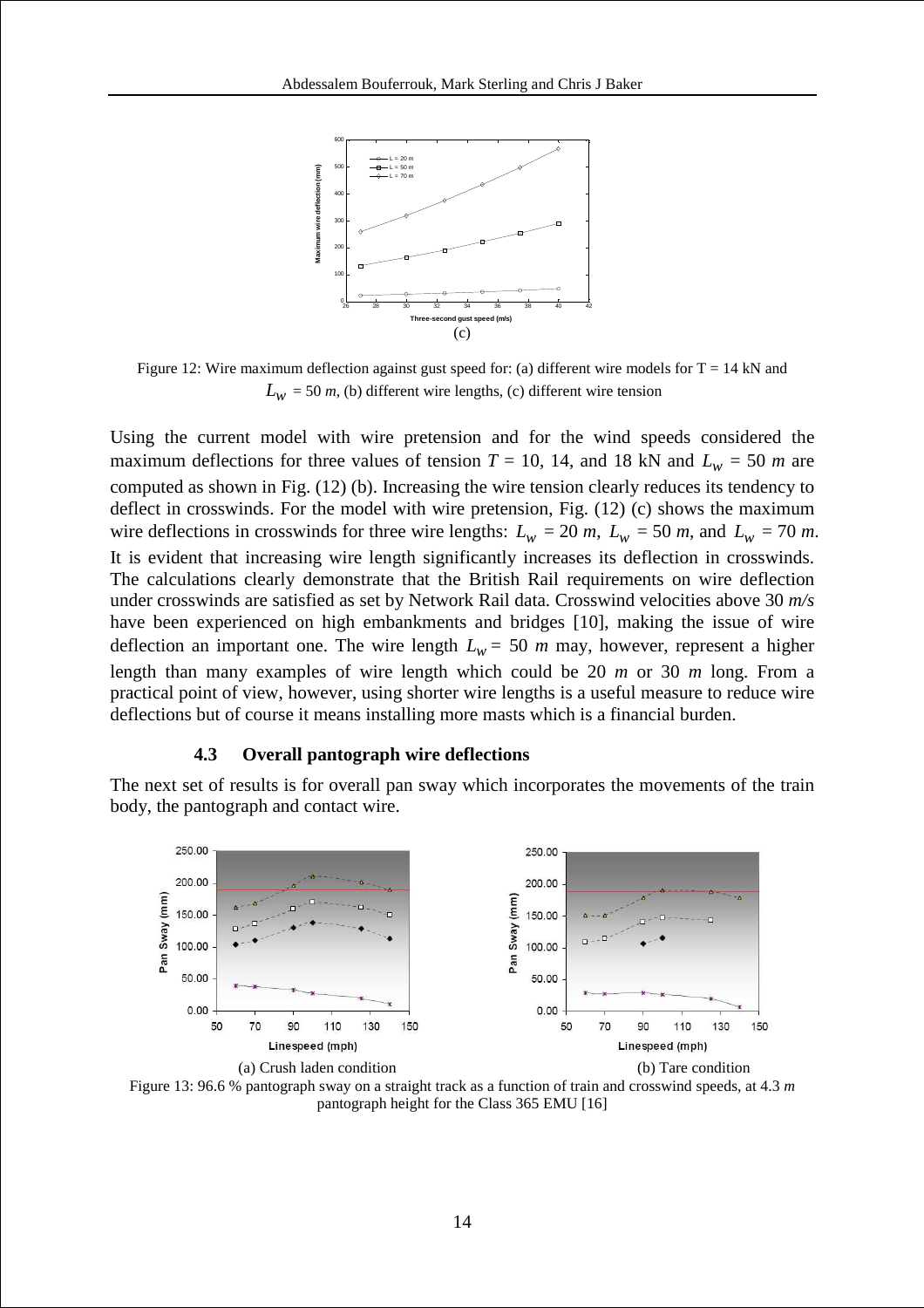

Figure 12: Wire maximum deflection against gust speed for: (a) different wire models for  $T = 14$  kN and  $L_w$  = 50 *m*, (b) different wire lengths, (c) different wire tension

Using the current model with wire pretension and for the wind speeds considered the maximum deflections for three values of tension  $T = 10$ , 14, and 18 kN and  $L_w = 50$  *m* are computed as shown in Fig. (12) (b). Increasing the wire tension clearly reduces its tendency to deflect in crosswinds. For the model with wire pretension, Fig. (12) (c) shows the maximum wire deflections in crosswinds for three wire lengths:  $L_w = 20$  *m*,  $L_w = 50$  *m*, and  $L_w = 70$  *m*. It is evident that increasing wire length significantly increases its deflection in crosswinds. The calculations clearly demonstrate that the British Rail requirements on wire deflection under crosswinds are satisfied as set by Network Rail data. Crosswind velocities above 30 *m/s* have been experienced on high embankments and bridges [10], making the issue of wire deflection an important one. The wire length  $L_w = 50$  *m* may, however, represent a higher length than many examples of wire length which could be 20 *m* or 30 *m* long. From a practical point of view, however, using shorter wire lengths is a useful measure to reduce wire deflections but of course it means installing more masts which is a financial burden.

#### **4.3 Overall pantograph wire deflections**

The next set of results is for overall pan sway which incorporates the movements of the train body, the pantograph and contact wire.



Figure 13: 96.6 % pantograph sway on a straight track as a function of train and crosswind speeds, at 4.3 *m* pantograph height for the Class 365 EMU [16]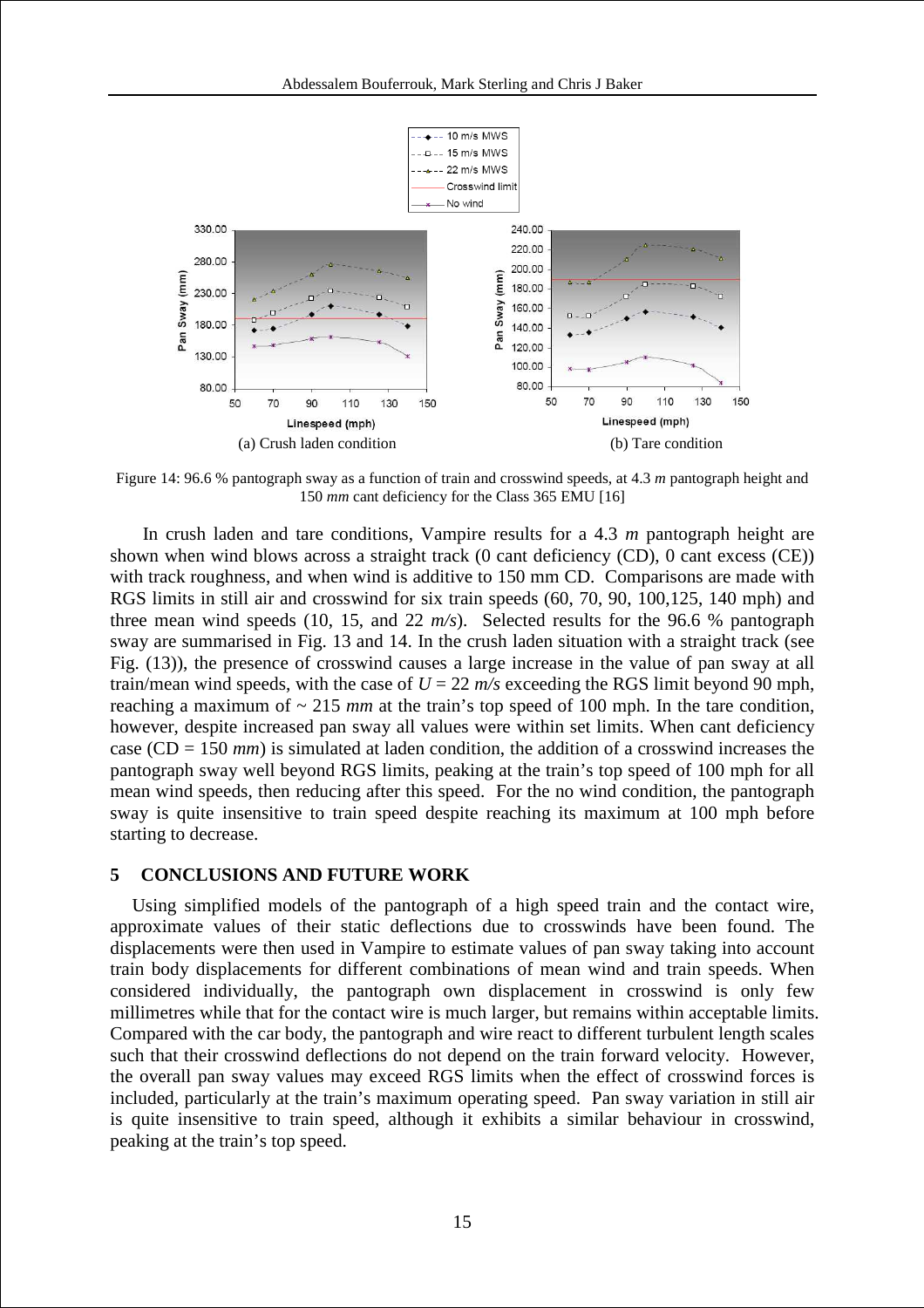

Figure 14: 96.6 % pantograph sway as a function of train and crosswind speeds, at 4.3 *m* pantograph height and 150 *mm* cant deficiency for the Class 365 EMU [16]

In crush laden and tare conditions, Vampire results for a 4.3 *m* pantograph height are shown when wind blows across a straight track (0 cant deficiency (CD), 0 cant excess (CE)) with track roughness, and when wind is additive to 150 mm CD. Comparisons are made with RGS limits in still air and crosswind for six train speeds (60, 70, 90, 100,125, 140 mph) and three mean wind speeds (10, 15, and 22 *m/s*). Selected results for the 96.6 % pantograph sway are summarised in Fig. 13 and 14. In the crush laden situation with a straight track (see Fig. (13)), the presence of crosswind causes a large increase in the value of pan sway at all train/mean wind speeds, with the case of  $U = 22$   $m/s$  exceeding the RGS limit beyond 90 mph, reaching a maximum of  $\sim$  215 *mm* at the train's top speed of 100 mph. In the tare condition, however, despite increased pan sway all values were within set limits. When cant deficiency case (CD = 150 *mm*) is simulated at laden condition, the addition of a crosswind increases the pantograph sway well beyond RGS limits, peaking at the train's top speed of 100 mph for all mean wind speeds, then reducing after this speed. For the no wind condition, the pantograph sway is quite insensitive to train speed despite reaching its maximum at 100 mph before starting to decrease.

### **5 CONCLUSIONS AND FUTURE WORK**

Using simplified models of the pantograph of a high speed train and the contact wire, approximate values of their static deflections due to crosswinds have been found. The displacements were then used in Vampire to estimate values of pan sway taking into account train body displacements for different combinations of mean wind and train speeds. When considered individually, the pantograph own displacement in crosswind is only few millimetres while that for the contact wire is much larger, but remains within acceptable limits. Compared with the car body, the pantograph and wire react to different turbulent length scales such that their crosswind deflections do not depend on the train forward velocity. However, the overall pan sway values may exceed RGS limits when the effect of crosswind forces is included, particularly at the train's maximum operating speed. Pan sway variation in still air is quite insensitive to train speed, although it exhibits a similar behaviour in crosswind, peaking at the train's top speed.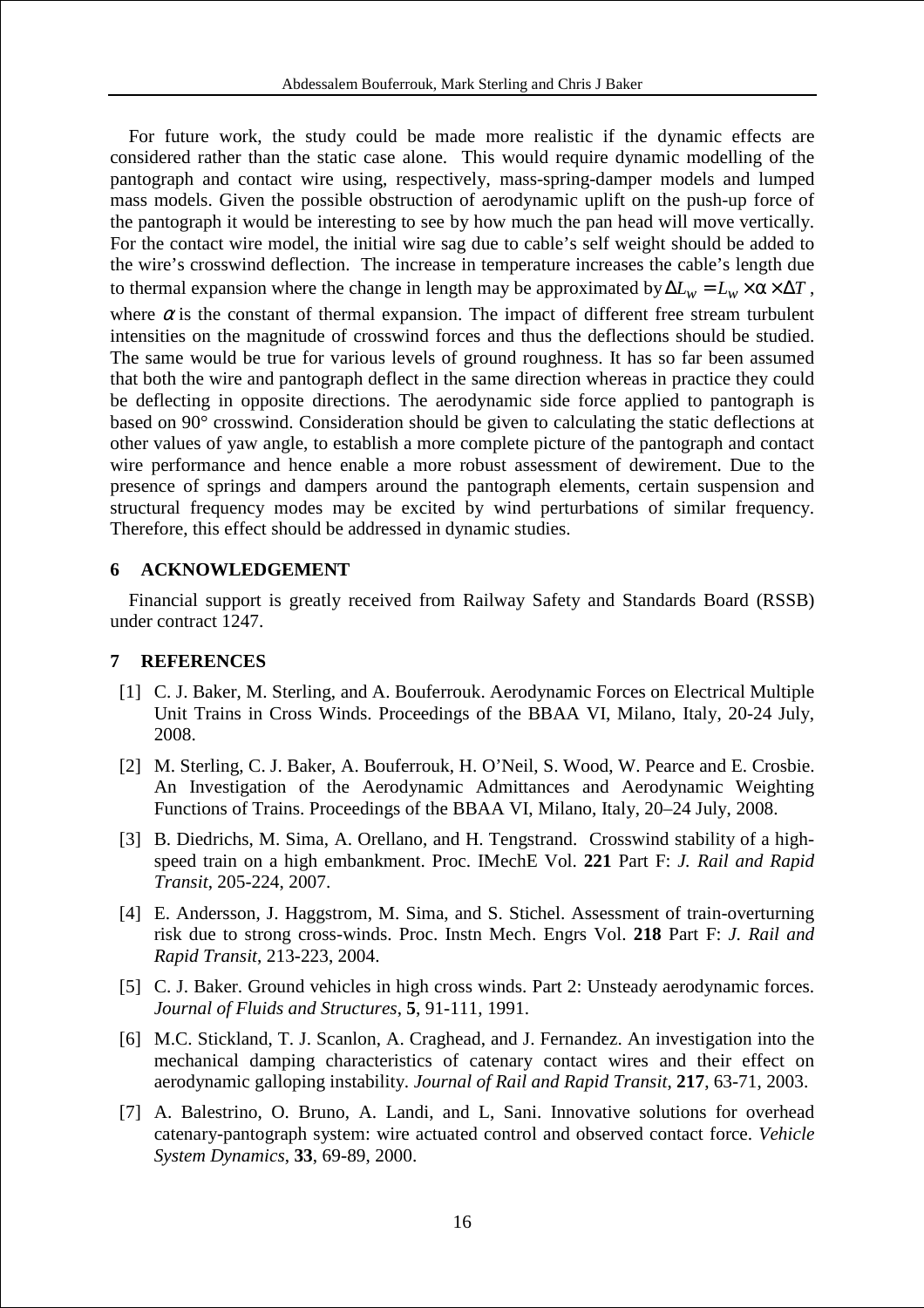For future work, the study could be made more realistic if the dynamic effects are considered rather than the static case alone. This would require dynamic modelling of the pantograph and contact wire using, respectively, mass-spring-damper models and lumped mass models. Given the possible obstruction of aerodynamic uplift on the push-up force of the pantograph it would be interesting to see by how much the pan head will move vertically. For the contact wire model, the initial wire sag due to cable's self weight should be added to the wire's crosswind deflection. The increase in temperature increases the cable's length due to thermal expansion where the change in length may be approximated by  $\Delta L_w = L_w \times \alpha \times \Delta T$ , where  $\alpha$  is the constant of thermal expansion. The impact of different free stream turbulent intensities on the magnitude of crosswind forces and thus the deflections should be studied. The same would be true for various levels of ground roughness. It has so far been assumed that both the wire and pantograph deflect in the same direction whereas in practice they could be deflecting in opposite directions. The aerodynamic side force applied to pantograph is based on 90° crosswind. Consideration should be given to calculating the static deflections at other values of yaw angle, to establish a more complete picture of the pantograph and contact wire performance and hence enable a more robust assessment of dewirement. Due to the presence of springs and dampers around the pantograph elements, certain suspension and structural frequency modes may be excited by wind perturbations of similar frequency. Therefore, this effect should be addressed in dynamic studies.

# **6 ACKNOWLEDGEMENT**

 Financial support is greatly received from Railway Safety and Standards Board (RSSB) under contract 1247.

# **7 REFERENCES**

- [1] C. J. Baker, M. Sterling, and A. Bouferrouk. Aerodynamic Forces on Electrical Multiple Unit Trains in Cross Winds. Proceedings of the BBAA VI, Milano, Italy, 20-24 July, 2008.
- [2] M. Sterling, C. J. Baker, A. Bouferrouk, H. O'Neil, S. Wood, W. Pearce and E. Crosbie. An Investigation of the Aerodynamic Admittances and Aerodynamic Weighting Functions of Trains. Proceedings of the BBAA VI, Milano, Italy, 20–24 July, 2008.
- [3] B. Diedrichs, M. Sima, A. Orellano, and H. Tengstrand.Crosswind stability of a highspeed train on a high embankment. Proc. IMechE Vol. **221** Part F: *J. Rail and Rapid Transit*, 205-224, 2007.
- [4] E. Andersson, J. Haggstrom, M. Sima, and S. Stichel. Assessment of train-overturning risk due to strong cross-winds. Proc. Instn Mech. Engrs Vol. **218** Part F: *J. Rail and Rapid Transit*, 213-223, 2004.
- [5] C. J. Baker. Ground vehicles in high cross winds. Part 2: Unsteady aerodynamic forces. *Journal of Fluids and Structures*, **5**, 91-111, 1991.
- [6] M.C. Stickland, T. J. Scanlon, A. Craghead, and J. Fernandez. An investigation into the mechanical damping characteristics of catenary contact wires and their effect on aerodynamic galloping instability. *Journal of Rail and Rapid Transit*, **217**, 63-71, 2003.
- [7] A. Balestrino, O. Bruno, A. Landi, and L, Sani. Innovative solutions for overhead catenary-pantograph system: wire actuated control and observed contact force. *Vehicle System Dynamics*, **33**, 69-89, 2000.